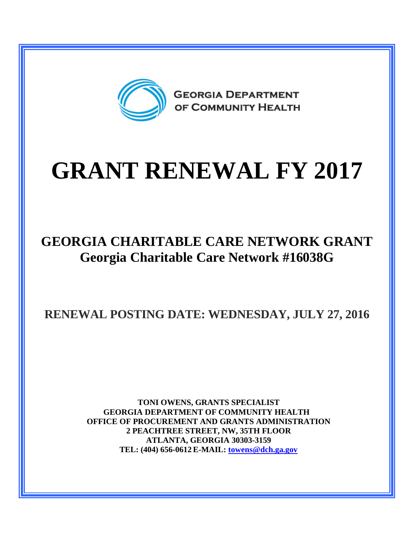

## **GRANT RENEWAL FY 2017**

## **GEORGIA CHARITABLE CARE NETWORK GRANT Georgia Charitable Care Network #16038G**

**RENEWAL POSTING DATE: WEDNESDAY, JULY 27, 2016**

**TONI OWENS, GRANTS SPECIALIST GEORGIA DEPARTMENT OF COMMUNITY HEALTH OFFICE OF PROCUREMENT AND GRANTS ADMINISTRATION 2 PEACHTREE STREET, NW, 35TH FLOOR ATLANTA, GEORGIA 30303-3159 TEL: (404) 656-0612 E-MAIL: [towens@dch.ga.gov](mailto:towens@dch.ga.gov)**